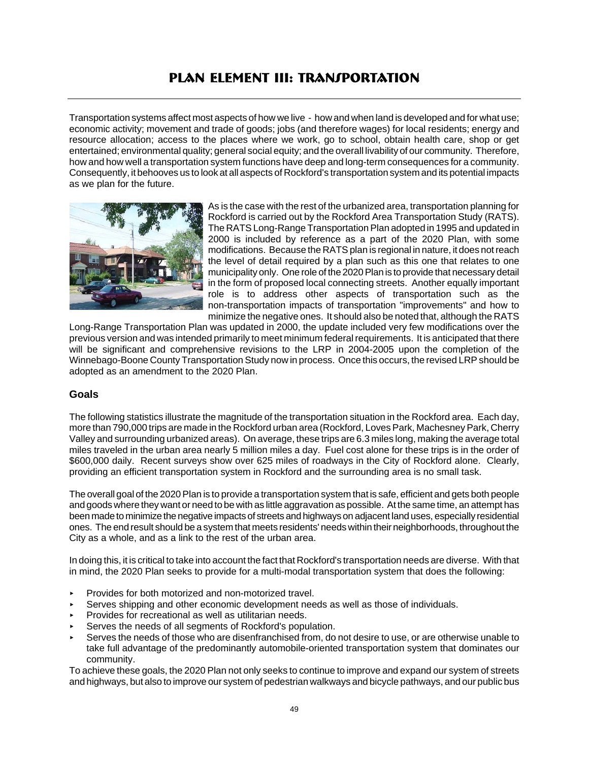# **PLAN ELEMENT III: TRANJPORTATION**

Transportation systems affect most aspects of how we live - how and when land is developed and for what use; economic activity; movement and trade of goods; jobs (and therefore wages) for local residents; energy and resource allocation; access to the places where we work, go to school, obtain health care, shop or get entertained; environmental quality; general social equity; and the overall livability of our community. Therefore, how and how well a transportation system functions have deep and long-term consequences for a community. Consequently, it behooves us to look at all aspects of Rockford's transportation system and its potential impacts as we plan for the future.



As is the case with the rest of the urbanized area, transportation planning for Rockford is carried out by the Rockford Area Transportation Study (RATS). The RATS Long-Range Transportation Plan adopted in 1995 and updated in 2000 is included by reference as a part of the 2020 Plan, with some modifications. Because the RATS plan is regional in nature, it does not reach the level of detail required by a plan such as this one that relates to one municipality only. One role of the 2020 Plan is to provide that necessary detail in the form of proposed local connecting streets. Another equally important role is to address other aspects of transportation such as the non-transportation impacts of transportation "improvements" and how to minimize the negative ones. It should also be noted that, although the RATS

Long-Range Transportation Plan was updated in 2000, the update included very few modifications over the previous version and was intended primarily to meet minimum federal requirements. It is anticipated that there will be significant and comprehensive revisions to the LRP in 2004-2005 upon the completion of the Winnebago-Boone County Transportation Study now in process. Once this occurs, the revised LRP should be adopted as an amendment to the 2020 Plan.

# **Goals**

The following statistics illustrate the magnitude of the transportation situation in the Rockford area. Each day, more than 790,000 trips are made in the Rockford urban area (Rockford, Loves Park, Machesney Park, Cherry Valley and surrounding urbanized areas). On average, these trips are 6.3 miles long, making the average total miles traveled in the urban area nearly 5 million miles a day. Fuel cost alone for these trips is in the order of \$600,000 daily. Recent surveys show over 625 miles of roadways in the City of Rockford alone. Clearly, providing an efficient transportation system in Rockford and the surrounding area is no small task.

The overall goal of the 2020 Plan is to provide a transportation system that is safe, efficient and gets both people and goods where they want or need to be with as little aggravation as possible. At the same time, an attempt has been made to minimize the negative impacts of streets and highways on adjacent land uses, especially residential ones. The end result should be a system that meets residents' needs within their neighborhoods, throughout the City as a whole, and as a link to the rest of the urban area.

In doing this, it is critical to take into account the fact that Rockford's transportation needs are diverse. With that in mind, the 2020 Plan seeks to provide for a multi-modal transportation system that does the following:

- < Provides for both motorized and non-motorized travel.
- Serves shipping and other economic development needs as well as those of individuals.
- < Provides for recreational as well as utilitarian needs.
- Serves the needs of all segments of Rockford's population.
- Serves the needs of those who are disenfranchised from, do not desire to use, or are otherwise unable to take full advantage of the predominantly automobile-oriented transportation system that dominates our community.

To achieve these goals, the 2020 Plan not only seeks to continue to improve and expand our system of streets and highways, but also to improve our system of pedestrian walkways and bicycle pathways, and our public bus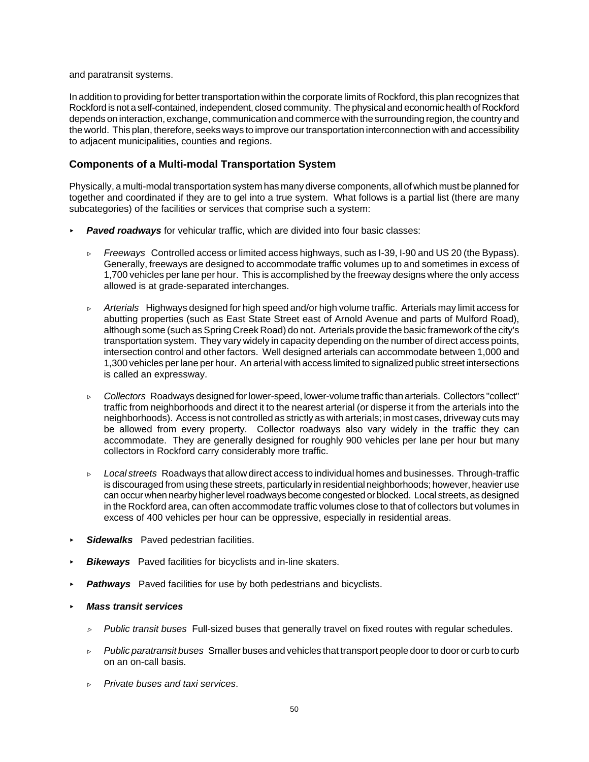and paratransit systems.

In addition to providing for better transportation within the corporate limits of Rockford, this plan recognizes that Rockford is not a self-contained, independent, closed community. The physical and economic health of Rockford depends on interaction, exchange, communication and commerce with the surrounding region, the country and the world. This plan, therefore, seeks ways to improve our transportation interconnection with and accessibility to adjacent municipalities, counties and regions.

# **Components of a Multi-modal Transportation System**

Physically, a multi-modal transportation system has many diverse components, all of which must be planned for together and coordinated if they are to gel into a true system. What follows is a partial list (there are many subcategories) of the facilities or services that comprise such a system:

- **Paved roadways** for vehicular traffic, which are divided into four basic classes:
	- $\triangleright$  *Freeways* Controlled access or limited access highways, such as I-39, I-90 and US 20 (the Bypass). Generally, freeways are designed to accommodate traffic volumes up to and sometimes in excess of 1,700 vehicles per lane per hour. This is accomplished by the freeway designs where the only access allowed is at grade-separated interchanges.
	- Í *Arterials* Highways designed for high speed and/or high volume traffic. Arterials may limit access for abutting properties (such as East State Street east of Arnold Avenue and parts of Mulford Road), although some (such as Spring Creek Road) do not. Arterials provide the basic framework of the city's transportation system. They vary widely in capacity depending on the number of direct access points, intersection control and other factors. Well designed arterials can accommodate between 1,000 and 1,300 vehicles per lane per hour. An arterial with access limited to signalized public street intersections is called an expressway.
	- $\triangleright$  *Collectors* Roadways designed for lower-speed, lower-volume traffic than arterials. Collectors "collect" traffic from neighborhoods and direct it to the nearest arterial (or disperse it from the arterials into the neighborhoods). Access is not controlled as strictly as with arterials; in most cases, driveway cuts may be allowed from every property. Collector roadways also vary widely in the traffic they can accommodate. They are generally designed for roughly 900 vehicles per lane per hour but many collectors in Rockford carry considerably more traffic.
	- $\triangleright$  *Local streets* Roadways that allow direct access to individual homes and businesses. Through-traffic is discouraged from using these streets, particularly in residential neighborhoods; however, heavier use can occur when nearby higher level roadways become congested or blocked. Local streets, as designed in the Rockford area, can often accommodate traffic volumes close to that of collectors but volumes in excess of 400 vehicles per hour can be oppressive, especially in residential areas.
- Sidewalks Paved pedestrian facilities.
- **Bikeways** Paved facilities for bicyclists and in-line skaters.
- **Pathways** Paved facilities for use by both pedestrians and bicyclists.
- < *Mass transit services*
	- $\triangleright$  *Public transit buses* Full-sized buses that generally travel on fixed routes with regular schedules.
	- Í *Public paratransit buses* Smaller buses and vehicles that transport people door to door or curb to curb on an on-call basis.
	- Í *Private buses and taxi services*.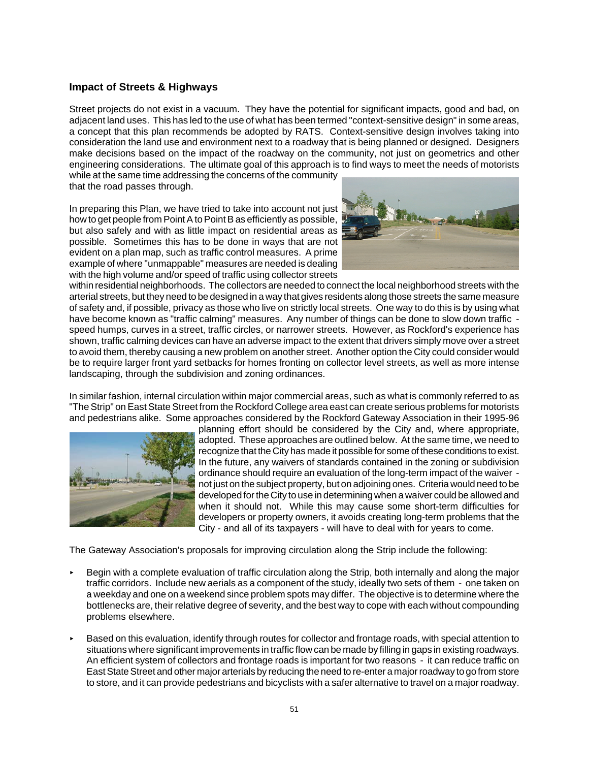## **Impact of Streets & Highways**

Street projects do not exist in a vacuum. They have the potential for significant impacts, good and bad, on adjacent land uses. This has led to the use of what has been termed "context-sensitive design" in some areas, a concept that this plan recommends be adopted by RATS. Context-sensitive design involves taking into consideration the land use and environment next to a roadway that is being planned or designed. Designers make decisions based on the impact of the roadway on the community, not just on geometrics and other engineering considerations. The ultimate goal of this approach is to find ways to meet the needs of motorists while at the same time addressing the concerns of the community

that the road passes through.

In preparing this Plan, we have tried to take into account not just how to get people from Point A to Point B as efficiently as possible, but also safely and with as little impact on residential areas as possible. Sometimes this has to be done in ways that are not evident on a plan map, such as traffic control measures. A prime example of where "unmappable" measures are needed is dealing with the high volume and/or speed of traffic using collector streets



within residential neighborhoods. The collectors are needed to connect the local neighborhood streets with the arterial streets, but they need to be designed in a way that gives residents along those streets the same measure of safety and, if possible, privacy as those who live on strictly local streets. One way to do this is by using what have become known as "traffic calming" measures. Any number of things can be done to slow down traffic speed humps, curves in a street, traffic circles, or narrower streets. However, as Rockford's experience has shown, traffic calming devices can have an adverse impact to the extent that drivers simply move over a street to avoid them, thereby causing a new problem on another street. Another option the City could consider would be to require larger front yard setbacks for homes fronting on collector level streets, as well as more intense landscaping, through the subdivision and zoning ordinances.

In similar fashion, internal circulation within major commercial areas, such as what is commonly referred to as "The Strip" on East State Street from the Rockford College area east can create serious problems for motorists and pedestrians alike. Some approaches considered by the Rockford Gateway Association in their 1995-96



planning effort should be considered by the City and, where appropriate, adopted. These approaches are outlined below. At the same time, we need to recognize that the City has made it possible for some of these conditions to exist. In the future, any waivers of standards contained in the zoning or subdivision ordinance should require an evaluation of the long-term impact of the waiver not just on the subject property, but on adjoining ones. Criteria would need to be developed for the City to use in determining when a waiver could be allowed and when it should not. While this may cause some short-term difficulties for developers or property owners, it avoids creating long-term problems that the City - and all of its taxpayers - will have to deal with for years to come.

The Gateway Association's proposals for improving circulation along the Strip include the following:

- Begin with a complete evaluation of traffic circulation along the Strip, both internally and along the major traffic corridors. Include new aerials as a component of the study, ideally two sets of them - one taken on a weekday and one on a weekend since problem spots may differ. The objective is to determine where the bottlenecks are, their relative degree of severity, and the best way to cope with each without compounding problems elsewhere.
- < Based on this evaluation, identify through routes for collector and frontage roads, with special attention to situations where significant improvements in traffic flow can be made by filling in gaps in existing roadways. An efficient system of collectors and frontage roads is important for two reasons - it can reduce traffic on East State Street and other major arterials by reducing the need to re-enter a major roadway to go from store to store, and it can provide pedestrians and bicyclists with a safer alternative to travel on a major roadway.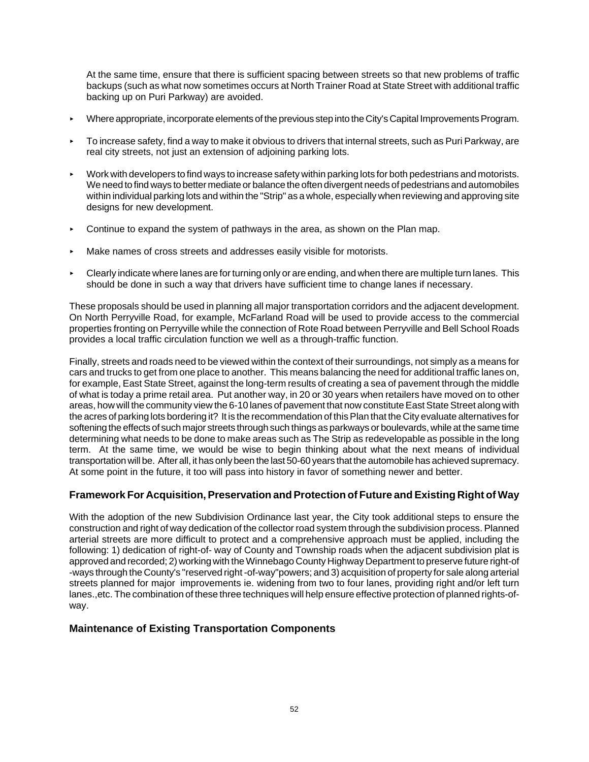At the same time, ensure that there is sufficient spacing between streets so that new problems of traffic backups (such as what now sometimes occurs at North Trainer Road at State Street with additional traffic backing up on Puri Parkway) are avoided.

- < Where appropriate, incorporate elements of the previous step into the City's Capital Improvements Program.
- < To increase safety, find a way to make it obvious to drivers that internal streets, such as Puri Parkway, are real city streets, not just an extension of adjoining parking lots.
- < Work with developers to find ways to increase safety within parking lots for both pedestrians and motorists. We need to find ways to better mediate or balance the often divergent needs of pedestrians and automobiles within individual parking lots and within the "Strip" as a whole, especially when reviewing and approving site designs for new development.
- $\triangleright$  Continue to expand the system of pathways in the area, as shown on the Plan map.
- < Make names of cross streets and addresses easily visible for motorists.
- < Clearly indicate where lanes are for turning only or are ending, and when there are multiple turn lanes. This should be done in such a way that drivers have sufficient time to change lanes if necessary.

These proposals should be used in planning all major transportation corridors and the adjacent development. On North Perryville Road, for example, McFarland Road will be used to provide access to the commercial properties fronting on Perryville while the connection of Rote Road between Perryville and Bell School Roads provides a local traffic circulation function we well as a through-traffic function.

Finally, streets and roads need to be viewed within the context of their surroundings, not simply as a means for cars and trucks to get from one place to another. This means balancing the need for additional traffic lanes on, for example, East State Street, against the long-term results of creating a sea of pavement through the middle of what is today a prime retail area. Put another way, in 20 or 30 years when retailers have moved on to other areas, how will the community view the 6-10 lanes of pavement that now constitute East State Street along with the acres of parking lots bordering it? It is the recommendation of this Plan that the City evaluate alternatives for softening the effects of such major streets through such things as parkways or boulevards, while at the same time determining what needs to be done to make areas such as The Strip as redevelopable as possible in the long term. At the same time, we would be wise to begin thinking about what the next means of individual transportation will be. After all, it has only been the last 50-60 years that the automobile has achieved supremacy. At some point in the future, it too will pass into history in favor of something newer and better.

# **Framework For Acquisition, Preservation and Protection of Future and Existing Right of Way**

With the adoption of the new Subdivision Ordinance last year, the City took additional steps to ensure the construction and right of way dedication of the collector road system through the subdivision process. Planned arterial streets are more difficult to protect and a comprehensive approach must be applied, including the following: 1) dedication of right-of- way of County and Township roads when the adjacent subdivision plat is approved and recorded; 2) working with the Winnebago County Highway Department to preserve future right-of -ways through the County's "reserved right -of-way"powers; and 3) acquisition of property for sale along arterial streets planned for major improvements ie. widening from two to four lanes, providing right and/or left turn lanes.,etc. The combination of these three techniques will help ensure effective protection of planned rights-ofway.

### **Maintenance of Existing Transportation Components**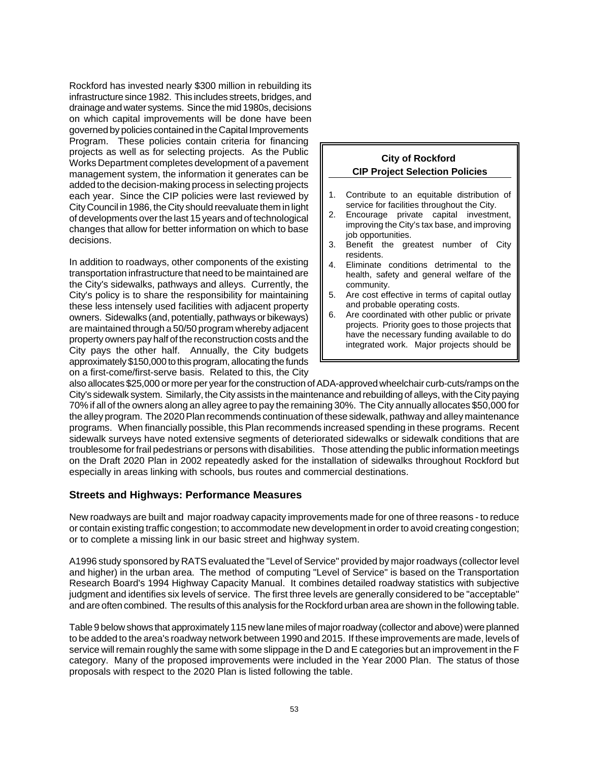Rockford has invested nearly \$300 million in rebuilding its infrastructure since 1982. This includes streets, bridges, and drainage and water systems. Since the mid 1980s, decisions on which capital improvements will be done have been governed by policies contained in the Capital Improvements Program. These policies contain criteria for financing projects as well as for selecting projects. As the Public Works Department completes development of a pavement management system, the information it generates can be added to the decision-making process in selecting projects each year. Since the CIP policies were last reviewed by City Council in 1986, the City should reevaluate them in light of developments over the last 15 years and of technological changes that allow for better information on which to base decisions.

In addition to roadways, other components of the existing transportation infrastructure that need to be maintained are the City's sidewalks, pathways and alleys. Currently, the City's policy is to share the responsibility for maintaining these less intensely used facilities with adjacent property owners. Sidewalks (and, potentially, pathways or bikeways) are maintained through a 50/50 program whereby adjacent property owners pay half of the reconstruction costs and the City pays the other half. Annually, the City budgets approximately \$150,000 to this program, allocating the funds on a first-come/first-serve basis. Related to this, the City

#### **City of Rockford CIP Project Selection Policies**

- 1. Contribute to an equitable distribution of service for facilities throughout the City.
- 2. Encourage private capital investment, improving the City's tax base, and improving job opportunities.
- 3. Benefit the greatest number of City residents.
- 4. Eliminate conditions detrimental to the health, safety and general welfare of the community.
- 5. Are cost effective in terms of capital outlay and probable operating costs.
- 6. Are coordinated with other public or private projects. Priority goes to those projects that have the necessary funding available to do integrated work. Major projects should be

also allocates \$25,000 or more per year for the construction of ADA-approved wheelchair curb-cuts/ramps on the City's sidewalk system. Similarly, the City assists in the maintenance and rebuilding of alleys, with the City paying 70% if all of the owners along an alley agree to pay the remaining 30%. The City annually allocates \$50,000 for the alley program. The 2020 Plan recommends continuation of these sidewalk, pathway and alley maintenance programs. When financially possible, this Plan recommends increased spending in these programs. Recent sidewalk surveys have noted extensive segments of deteriorated sidewalks or sidewalk conditions that are troublesome for frail pedestrians or persons with disabilities. Those attending the public information meetings on the Draft 2020 Plan in 2002 repeatedly asked for the installation of sidewalks throughout Rockford but especially in areas linking with schools, bus routes and commercial destinations.

### **Streets and Highways: Performance Measures**

New roadways are built and major roadway capacity improvements made for one of three reasons - to reduce or contain existing traffic congestion; to accommodate new development in order to avoid creating congestion; or to complete a missing link in our basic street and highway system.

A1996 study sponsored by RATS evaluated the "Level of Service" provided by major roadways (collector level and higher) in the urban area. The method of computing "Level of Service" is based on the Transportation Research Board's 1994 Highway Capacity Manual. It combines detailed roadway statistics with subjective judgment and identifies six levels of service. The first three levels are generally considered to be "acceptable" and are often combined. The results of this analysis for the Rockford urban area are shown in the following table.

Table 9 below shows that approximately 115 new lane miles of major roadway (collector and above) were planned to be added to the area's roadway network between 1990 and 2015. If these improvements are made, levels of service will remain roughly the same with some slippage in the D and E categories but an improvement in the F category. Many of the proposed improvements were included in the Year 2000 Plan. The status of those proposals with respect to the 2020 Plan is listed following the table.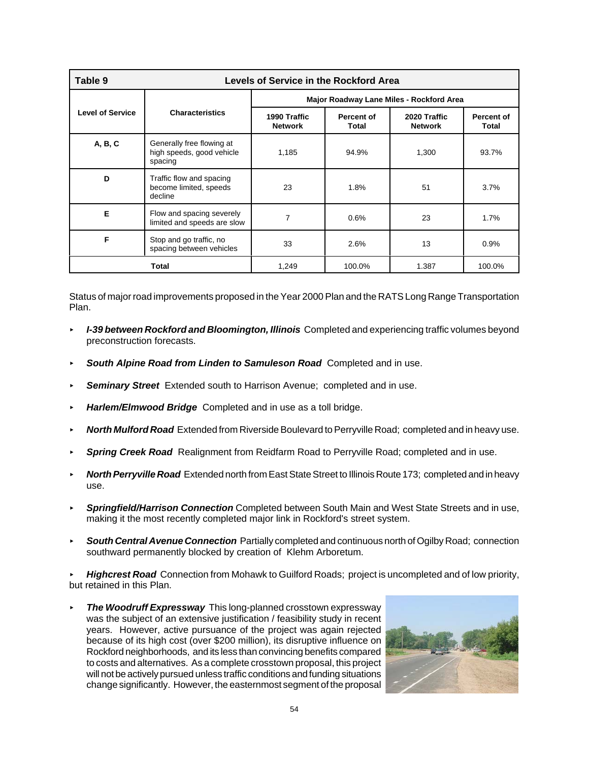| Table 9<br>Levels of Service in the Rockford Area |                                                                   |                                          |                     |                                |                                   |
|---------------------------------------------------|-------------------------------------------------------------------|------------------------------------------|---------------------|--------------------------------|-----------------------------------|
|                                                   | <b>Characteristics</b>                                            | Major Roadway Lane Miles - Rockford Area |                     |                                |                                   |
| <b>Level of Service</b>                           |                                                                   | 1990 Traffic<br><b>Network</b>           | Percent of<br>Total | 2020 Traffic<br><b>Network</b> | <b>Percent of</b><br><b>Total</b> |
| A, B, C                                           | Generally free flowing at<br>high speeds, good vehicle<br>spacing | 1,185                                    | 94.9%               | 1,300                          | 93.7%                             |
| D                                                 | Traffic flow and spacing<br>become limited, speeds<br>decline     | 23                                       | 1.8%                | 51                             | 3.7%                              |
| Е                                                 | Flow and spacing severely<br>limited and speeds are slow          | $\overline{7}$                           | 0.6%                | 23                             | 1.7%                              |
| F                                                 | Stop and go traffic, no<br>spacing between vehicles               | 33                                       | 2.6%                | 13                             | 0.9%                              |
|                                                   | Total                                                             | 1,249                                    | 100.0%              | 1.387                          | 100.0%                            |

Status of major road improvements proposed in the Year 2000 Plan and the RATS Long Range Transportation Plan.

- *I-39 between Rockford and Bloomington, Illinois Completed and experiencing traffic volumes beyond* preconstruction forecasts.
- < *South Alpine Road from Linden to Samuleson Road* Completed and in use.
- **Seminary Street** Extended south to Harrison Avenue; completed and in use.
- < *Harlem/Elmwood Bridge* Completed and in use as a toll bridge.
- < *North Mulford Road* Extended from Riverside Boulevard to Perryville Road; completed and in heavy use.
- **Spring Creek Road** Realignment from Reidfarm Road to Perryville Road; completed and in use.
- < *North Perryville Road* Extended north from East State Street to Illinois Route 173; completed and in heavy use.
- < *Springfield/Harrison Connection* Completed between South Main and West State Streets and in use, making it the most recently completed major link in Rockford's street system.
- **South Central Avenue Connection** Partially completed and continuous north of Ogilby Road; connection southward permanently blocked by creation of Klehm Arboretum.

< *Highcrest Road* Connection from Mohawk to Guilford Roads; project is uncompleted and of low priority, but retained in this Plan.

*The Woodruff Expressway This long-planned crosstown expressway* was the subject of an extensive justification / feasibility study in recent years. However, active pursuance of the project was again rejected because of its high cost (over \$200 million), its disruptive influence on Rockford neighborhoods, and its less than convincing benefits compared to costs and alternatives. As a complete crosstown proposal, this project will not be actively pursued unless traffic conditions and funding situations change significantly. However, the easternmost segment of the proposal

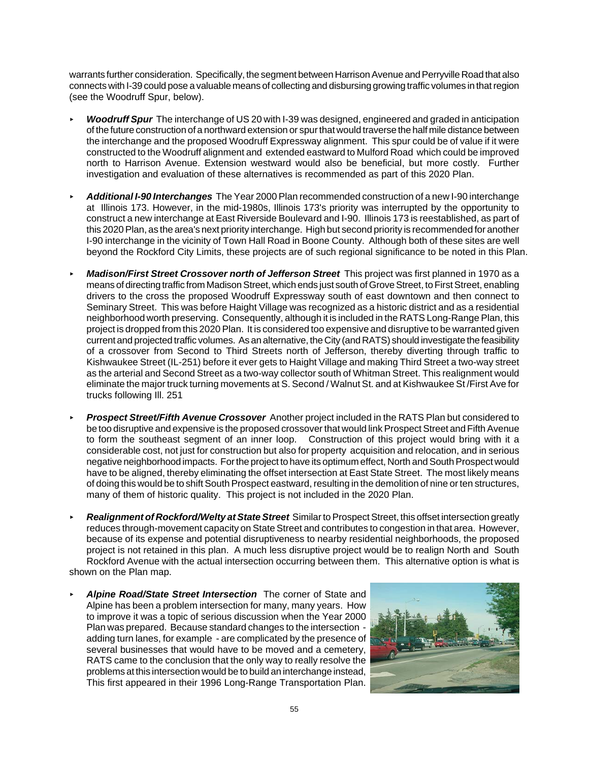warrants further consideration. Specifically, the segment between Harrison Avenue and Perryville Road that also connects with I-39 could pose a valuable means of collecting and disbursing growing traffic volumes in that region (see the Woodruff Spur, below).

- *Woodruff Spur* The interchange of US 20 with I-39 was designed, engineered and graded in anticipation of the future construction of a northward extension or spur that would traverse the half mile distance between the interchange and the proposed Woodruff Expressway alignment. This spur could be of value if it were constructed to the Woodruff alignment and extended eastward to Mulford Road which could be improved north to Harrison Avenue. Extension westward would also be beneficial, but more costly. Further investigation and evaluation of these alternatives is recommended as part of this 2020 Plan.
- < *Additional I-90 Interchanges* The Year 2000 Plan recommended construction of a new I-90 interchange at Illinois 173. However, in the mid-1980s, Illinois 173's priority was interrupted by the opportunity to construct a new interchange at East Riverside Boulevard and I-90. Illinois 173 is reestablished, as part of this 2020 Plan, as the area's next priority interchange. High but second priority is recommended for another I-90 interchange in the vicinity of Town Hall Road in Boone County. Although both of these sites are well beyond the Rockford City Limits, these projects are of such regional significance to be noted in this Plan.
- *Madison/First Street Crossover north of Jefferson Street This project was first planned in 1970 as a* means of directing traffic from Madison Street, which ends just south of Grove Street, to First Street, enabling drivers to the cross the proposed Woodruff Expressway south of east downtown and then connect to Seminary Street. This was before Haight Village was recognized as a historic district and as a residential neighborhood worth preserving. Consequently, although it is included in the RATS Long-Range Plan, this project is dropped from this 2020 Plan. It is considered too expensive and disruptive to be warranted given current and projected traffic volumes. As an alternative, the City (and RATS) should investigate the feasibility of a crossover from Second to Third Streets north of Jefferson, thereby diverting through traffic to Kishwaukee Street (IL-251) before it ever gets to Haight Village and making Third Street a two-way street as the arterial and Second Street as a two-way collector south of Whitman Street. This realignment would eliminate the major truck turning movements at S. Second / Walnut St. and at Kishwaukee St /First Ave for trucks following Ill. 251
- **Prospect Street/Fifth Avenue Crossover** Another project included in the RATS Plan but considered to be too disruptive and expensive is the proposed crossover that would link Prospect Street and Fifth Avenue to form the southeast segment of an inner loop. Construction of this project would bring with it a considerable cost, not just for construction but also for property acquisition and relocation, and in serious negative neighborhood impacts. For the project to have its optimum effect, North and South Prospect would have to be aligned, thereby eliminating the offset intersection at East State Street. The most likely means of doing this would be to shift South Prospect eastward, resulting in the demolition of nine or ten structures, many of them of historic quality. This project is not included in the 2020 Plan.
- < *Realignment of Rockford/Welty at State Street* Similar to Prospect Street, this offset intersection greatly reduces through-movement capacity on State Street and contributes to congestion in that area. However, because of its expense and potential disruptiveness to nearby residential neighborhoods, the proposed project is not retained in this plan. A much less disruptive project would be to realign North and South Rockford Avenue with the actual intersection occurring between them. This alternative option is what is shown on the Plan map.
- < *Alpine Road/State Street Intersection* The corner of State and Alpine has been a problem intersection for many, many years. How to improve it was a topic of serious discussion when the Year 2000 Plan was prepared. Because standard changes to the intersection adding turn lanes, for example - are complicated by the presence of several businesses that would have to be moved and a cemetery, RATS came to the conclusion that the only way to really resolve the problems at this intersection would be to build an interchange instead, This first appeared in their 1996 Long-Range Transportation Plan.

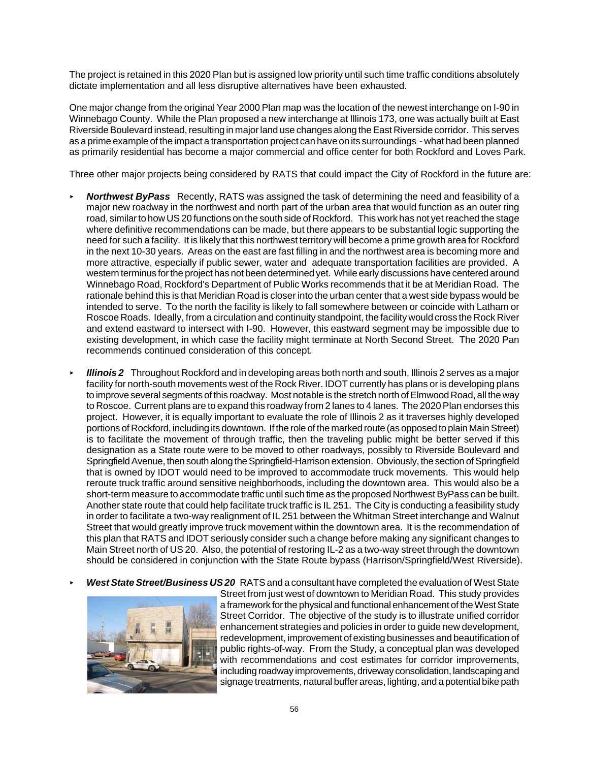The project is retained in this 2020 Plan but is assigned low priority until such time traffic conditions absolutely dictate implementation and all less disruptive alternatives have been exhausted.

One major change from the original Year 2000 Plan map was the location of the newest interchange on I-90 in Winnebago County. While the Plan proposed a new interchange at Illinois 173, one was actually built at East Riverside Boulevard instead, resulting in major land use changes along the East Riverside corridor. This serves as a prime example of the impact a transportation project can have on its surroundings - what had been planned as primarily residential has become a major commercial and office center for both Rockford and Loves Park.

Three other major projects being considered by RATS that could impact the City of Rockford in the future are:

- **Northwest ByPass** Recently, RATS was assigned the task of determining the need and feasibility of a major new roadway in the northwest and north part of the urban area that would function as an outer ring road, similar to how US 20 functions on the south side of Rockford. This work has not yet reached the stage where definitive recommendations can be made, but there appears to be substantial logic supporting the need for such a facility. It is likely that this northwest territory will become a prime growth area for Rockford in the next 10-30 years. Areas on the east are fast filling in and the northwest area is becoming more and more attractive, especially if public sewer, water and adequate transportation facilities are provided. A western terminus for the project has not been determined yet. While early discussions have centered around Winnebago Road, Rockford's Department of Public Works recommends that it be at Meridian Road. The rationale behind this is that Meridian Road is closer into the urban center that a west side bypass would be intended to serve. To the north the facility is likely to fall somewhere between or coincide with Latham or Roscoe Roads. Ideally, from a circulation and continuity standpoint, the facility would cross the Rock River and extend eastward to intersect with I-90. However, this eastward segment may be impossible due to existing development, in which case the facility might terminate at North Second Street. The 2020 Pan recommends continued consideration of this concept.
- *Illinois 2* Throughout Rockford and in developing areas both north and south, Illinois 2 serves as a major facility for north-south movements west of the Rock River. IDOT currently has plans or is developing plans to improve several segments of this roadway. Most notable is the stretch north of Elmwood Road, all the way to Roscoe. Current plans are to expand this roadway from 2 lanes to 4 lanes. The 2020 Plan endorses this project. However, it is equally important to evaluate the role of Illinois 2 as it traverses highly developed portions of Rockford, including its downtown. If the role of the marked route (as opposed to plain Main Street) is to facilitate the movement of through traffic, then the traveling public might be better served if this designation as a State route were to be moved to other roadways, possibly to Riverside Boulevard and Springfield Avenue, then south along the Springfield-Harrison extension. Obviously, the section of Springfield that is owned by IDOT would need to be improved to accommodate truck movements. This would help reroute truck traffic around sensitive neighborhoods, including the downtown area. This would also be a short-term measure to accommodate traffic until such time as the proposed Northwest ByPass can be built. Another state route that could help facilitate truck traffic is IL 251. The City is conducting a feasibility study in order to facilitate a two-way realignment of IL 251 between the Whitman Street interchange and Walnut Street that would greatly improve truck movement within the downtown area. It is the recommendation of this plan that RATS and IDOT seriously consider such a change before making any significant changes to Main Street north of US 20. Also, the potential of restoring IL-2 as a two-way street through the downtown should be considered in conjunction with the State Route bypass (Harrison/Springfield/West Riverside).
- West State Street/Business US 20 RATS and a consultant have completed the evaluation of West State



Street from just west of downtown to Meridian Road. This study provides a framework for the physical and functional enhancement of the West State Street Corridor. The objective of the study is to illustrate unified corridor enhancement strategies and policies in order to guide new development, redevelopment, improvement of existing businesses and beautification of public rights-of-way. From the Study, a conceptual plan was developed with recommendations and cost estimates for corridor improvements, including roadway improvements, driveway consolidation, landscaping and signage treatments, natural buffer areas, lighting, and a potential bike path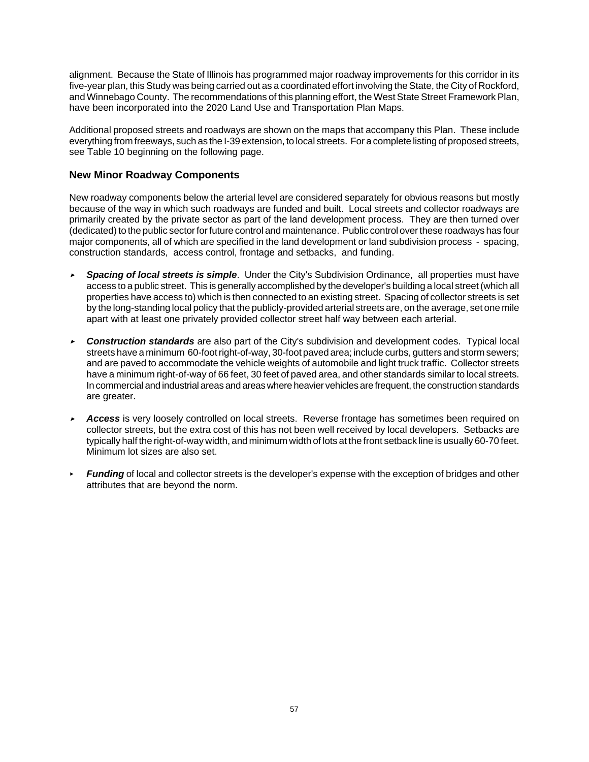alignment. Because the State of Illinois has programmed major roadway improvements for this corridor in its five-year plan, this Study was being carried out as a coordinated effort involving the State, the City of Rockford, and Winnebago County. The recommendations of this planning effort, the West State Street Framework Plan, have been incorporated into the 2020 Land Use and Transportation Plan Maps.

Additional proposed streets and roadways are shown on the maps that accompany this Plan. These include everything from freeways, such as the I-39 extension, to local streets. For a complete listing of proposed streets, see Table 10 beginning on the following page.

## **New Minor Roadway Components**

New roadway components below the arterial level are considered separately for obvious reasons but mostly because of the way in which such roadways are funded and built. Local streets and collector roadways are primarily created by the private sector as part of the land development process. They are then turned over (dedicated) to the public sector for future control and maintenance. Public control over these roadways has four major components, all of which are specified in the land development or land subdivision process - spacing, construction standards, access control, frontage and setbacks, and funding.

- , *Spacing of local streets is simple*. Under the City's Subdivision Ordinance, all properties must have access to a public street. This is generally accomplished by the developer's building a local street (which all properties have access to) which is then connected to an existing street. Spacing of collector streets is set by the long-standing local policy that the publicly-provided arterial streets are, on the average, set one mile apart with at least one privately provided collector street half way between each arterial.
- **Construction standards** are also part of the City's subdivision and development codes. Typical local streets have a minimum 60-foot right-of-way, 30-foot paved area; include curbs, gutters and storm sewers; and are paved to accommodate the vehicle weights of automobile and light truck traffic. Collector streets have a minimum right-of-way of 66 feet, 30 feet of paved area, and other standards similar to local streets. In commercial and industrial areas and areas where heavier vehicles are frequent, the construction standards are greater.
- **Access** is very loosely controlled on local streets. Reverse frontage has sometimes been required on collector streets, but the extra cost of this has not been well received by local developers. Setbacks are typically half the right-of-way width, and minimum width of lots at the front setback line is usually 60-70 feet. Minimum lot sizes are also set.
- *Funding* of local and collector streets is the developer's expense with the exception of bridges and other attributes that are beyond the norm.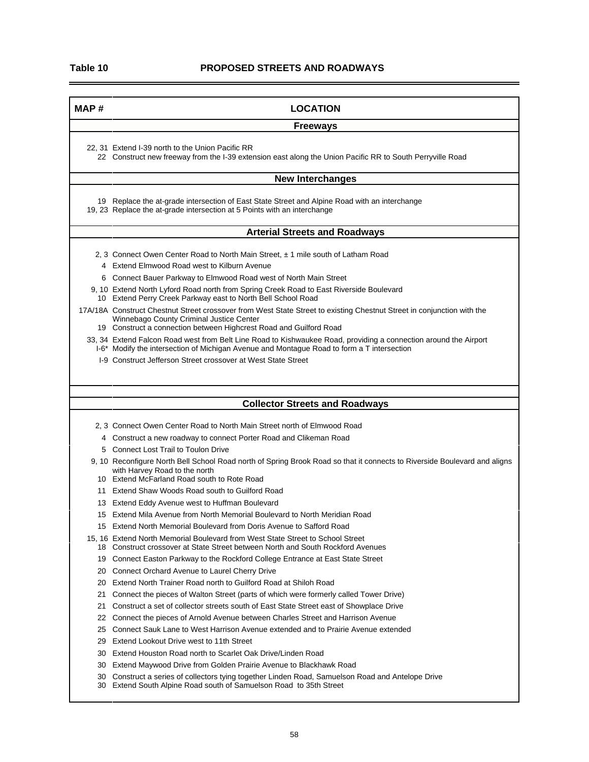$\blacksquare$ 

.

| MAP# | <b>LOCATION</b>                                                                                                                                                           |  |  |  |  |  |
|------|---------------------------------------------------------------------------------------------------------------------------------------------------------------------------|--|--|--|--|--|
|      | <b>Freeways</b>                                                                                                                                                           |  |  |  |  |  |
|      | 22, 31 Extend I-39 north to the Union Pacific RR                                                                                                                          |  |  |  |  |  |
|      | 22 Construct new freeway from the I-39 extension east along the Union Pacific RR to South Perryville Road                                                                 |  |  |  |  |  |
|      | <b>New Interchanges</b>                                                                                                                                                   |  |  |  |  |  |
|      | 19 Replace the at-grade intersection of East State Street and Alpine Road with an interchange<br>19, 23 Replace the at-grade intersection at 5 Points with an interchange |  |  |  |  |  |
|      | <b>Arterial Streets and Roadways</b>                                                                                                                                      |  |  |  |  |  |
|      | 2, 3 Connect Owen Center Road to North Main Street, ± 1 mile south of Latham Road                                                                                         |  |  |  |  |  |
|      | 4 Extend Elmwood Road west to Kilburn Avenue                                                                                                                              |  |  |  |  |  |
|      | 6 Connect Bauer Parkway to Elmwood Road west of North Main Street                                                                                                         |  |  |  |  |  |
|      | 9, 10 Extend North Lyford Road north from Spring Creek Road to East Riverside Boulevard<br>10 Extend Perry Creek Parkway east to North Bell School Road                   |  |  |  |  |  |
|      | 17A/18A Construct Chestnut Street crossover from West State Street to existing Chestnut Street in conjunction with the                                                    |  |  |  |  |  |
|      | Winnebago County Criminal Justice Center<br>19 Construct a connection between Highcrest Road and Guilford Road                                                            |  |  |  |  |  |
|      | 33, 34 Extend Falcon Road west from Belt Line Road to Kishwaukee Road, providing a connection around the Airport                                                          |  |  |  |  |  |
|      | I-6 <sup>*</sup> Modify the intersection of Michigan Avenue and Montague Road to form a T intersection                                                                    |  |  |  |  |  |
|      | 1-9 Construct Jefferson Street crossover at West State Street                                                                                                             |  |  |  |  |  |
|      |                                                                                                                                                                           |  |  |  |  |  |
|      | <b>Collector Streets and Roadways</b>                                                                                                                                     |  |  |  |  |  |
|      | 2, 3 Connect Owen Center Road to North Main Street north of Elmwood Road                                                                                                  |  |  |  |  |  |
|      | 4 Construct a new roadway to connect Porter Road and Clikeman Road                                                                                                        |  |  |  |  |  |
|      | 5 Connect Lost Trail to Toulon Drive                                                                                                                                      |  |  |  |  |  |
|      | 9, 10 Reconfigure North Bell School Road north of Spring Brook Road so that it connects to Riverside Boulevard and aligns<br>with Harvey Road to the north                |  |  |  |  |  |
|      | 10 Extend McFarland Road south to Rote Road                                                                                                                               |  |  |  |  |  |
|      | 11 Extend Shaw Woods Road south to Guilford Road                                                                                                                          |  |  |  |  |  |
|      | 13 Extend Eddy Avenue west to Huffman Boulevard                                                                                                                           |  |  |  |  |  |
|      | 15 Extend Mila Avenue from North Memorial Boulevard to North Meridian Road                                                                                                |  |  |  |  |  |
|      | 15 Extend North Memorial Boulevard from Doris Avenue to Safford Road                                                                                                      |  |  |  |  |  |
|      | 15, 16 Extend North Memorial Boulevard from West State Street to School Street<br>18 Construct crossover at State Street between North and South Rockford Avenues         |  |  |  |  |  |
|      | 19 Connect Easton Parkway to the Rockford College Entrance at East State Street                                                                                           |  |  |  |  |  |
| 20   | <b>Connect Orchard Avenue to Laurel Cherry Drive</b>                                                                                                                      |  |  |  |  |  |
| 20   | Extend North Trainer Road north to Guilford Road at Shiloh Road                                                                                                           |  |  |  |  |  |
| 21   | Connect the pieces of Walton Street (parts of which were formerly called Tower Drive)                                                                                     |  |  |  |  |  |
| 21   | Construct a set of collector streets south of East State Street east of Showplace Drive                                                                                   |  |  |  |  |  |
|      | Connect the pieces of Arnold Avenue between Charles Street and Harrison Avenue                                                                                            |  |  |  |  |  |
| 22   |                                                                                                                                                                           |  |  |  |  |  |
| 25   | Connect Sauk Lane to West Harrison Avenue extended and to Prairie Avenue extended                                                                                         |  |  |  |  |  |
| 29 - | Extend Lookout Drive west to 11th Street                                                                                                                                  |  |  |  |  |  |
| 30   | Extend Houston Road north to Scarlet Oak Drive/Linden Road                                                                                                                |  |  |  |  |  |
| 30   | Extend Maywood Drive from Golden Prairie Avenue to Blackhawk Road<br>30 Construct a series of collectors tying together Linden Road, Samuelson Road and Antelope Drive    |  |  |  |  |  |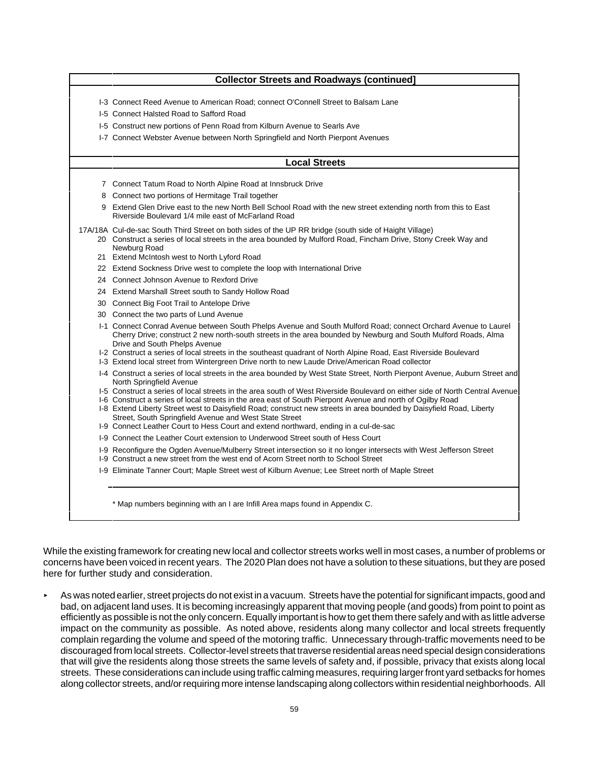| <b>Collector Streets and Roadways (continued]</b>                                                                                                                                                                                                                                                                                                                                                                                                                                                                    |
|----------------------------------------------------------------------------------------------------------------------------------------------------------------------------------------------------------------------------------------------------------------------------------------------------------------------------------------------------------------------------------------------------------------------------------------------------------------------------------------------------------------------|
| 1-3 Connect Reed Avenue to American Road; connect O'Connell Street to Balsam Lane                                                                                                                                                                                                                                                                                                                                                                                                                                    |
| 1-5 Connect Halsted Road to Safford Road                                                                                                                                                                                                                                                                                                                                                                                                                                                                             |
| 1-5 Construct new portions of Penn Road from Kilburn Avenue to Searls Ave                                                                                                                                                                                                                                                                                                                                                                                                                                            |
| I-7 Connect Webster Avenue between North Springfield and North Pierpont Avenues                                                                                                                                                                                                                                                                                                                                                                                                                                      |
| <b>Local Streets</b>                                                                                                                                                                                                                                                                                                                                                                                                                                                                                                 |
| 7 Connect Tatum Road to North Alpine Road at Innsbruck Drive                                                                                                                                                                                                                                                                                                                                                                                                                                                         |
| 8 Connect two portions of Hermitage Trail together                                                                                                                                                                                                                                                                                                                                                                                                                                                                   |
| 9 Extend Glen Drive east to the new North Bell School Road with the new street extending north from this to East<br>Riverside Boulevard 1/4 mile east of McFarland Road                                                                                                                                                                                                                                                                                                                                              |
| 17A/18A Cul-de-sac South Third Street on both sides of the UP RR bridge (south side of Haight Village)<br>20 Construct a series of local streets in the area bounded by Mulford Road, Fincham Drive, Stony Creek Way and<br>Newburg Road                                                                                                                                                                                                                                                                             |
| 21 Extend McIntosh west to North Lyford Road                                                                                                                                                                                                                                                                                                                                                                                                                                                                         |
| 22 Extend Sockness Drive west to complete the loop with International Drive                                                                                                                                                                                                                                                                                                                                                                                                                                          |
| 24 Connect Johnson Avenue to Rexford Drive                                                                                                                                                                                                                                                                                                                                                                                                                                                                           |
| 24 Extend Marshall Street south to Sandy Hollow Road                                                                                                                                                                                                                                                                                                                                                                                                                                                                 |
| 30 Connect Big Foot Trail to Antelope Drive                                                                                                                                                                                                                                                                                                                                                                                                                                                                          |
| 30 Connect the two parts of Lund Avenue                                                                                                                                                                                                                                                                                                                                                                                                                                                                              |
| 1-1 Connect Conrad Avenue between South Phelps Avenue and South Mulford Road; connect Orchard Avenue to Laurel<br>Cherry Drive; construct 2 new north-south streets in the area bounded by Newburg and South Mulford Roads, Alma<br>Drive and South Phelps Avenue<br>I-2 Construct a series of local streets in the southeast quadrant of North Alpine Road, East Riverside Boulevard<br>I-3 Extend local street from Wintergreen Drive north to new Laude Drive/American Road collector                             |
| I-4 Construct a series of local streets in the area bounded by West State Street, North Pierpont Avenue, Auburn Street and<br>North Springfield Avenue                                                                                                                                                                                                                                                                                                                                                               |
| I-5 Construct a series of local streets in the area south of West Riverside Boulevard on either side of North Central Avenue<br>I-6 Construct a series of local streets in the area east of South Pierpont Avenue and north of Ogilby Road<br>I-8 Extend Liberty Street west to Daisyfield Road; construct new streets in area bounded by Daisyfield Road, Liberty<br>Street, South Springfield Avenue and West State Street<br>I-9 Connect Leather Court to Hess Court and extend northward, ending in a cul-de-sac |
| 1-9 Connect the Leather Court extension to Underwood Street south of Hess Court                                                                                                                                                                                                                                                                                                                                                                                                                                      |
| 1-9 Reconfigure the Ogden Avenue/Mulberry Street intersection so it no longer intersects with West Jefferson Street<br>1-9 Construct a new street from the west end of Acorn Street north to School Street                                                                                                                                                                                                                                                                                                           |
| 1-9 Eliminate Tanner Court; Maple Street west of Kilburn Avenue; Lee Street north of Maple Street                                                                                                                                                                                                                                                                                                                                                                                                                    |

While the existing framework for creating new local and collector streets works well in most cases, a number of problems or concerns have been voiced in recent years. The 2020 Plan does not have a solution to these situations, but they are posed here for further study and consideration.

< As was noted earlier, street projects do not exist in a vacuum. Streets have the potential for significant impacts, good and bad, on adjacent land uses. It is becoming increasingly apparent that moving people (and goods) from point to point as efficiently as possible is not the only concern. Equally important is how to get them there safely and with as little adverse impact on the community as possible. As noted above, residents along many collector and local streets frequently complain regarding the volume and speed of the motoring traffic. Unnecessary through-traffic movements need to be discouraged from local streets. Collector-level streets that traverse residential areas need special design considerations that will give the residents along those streets the same levels of safety and, if possible, privacy that exists along local streets. These considerations can include using traffic calming measures, requiring larger front yard setbacks for homes along collector streets, and/or requiring more intense landscaping along collectors within residential neighborhoods. All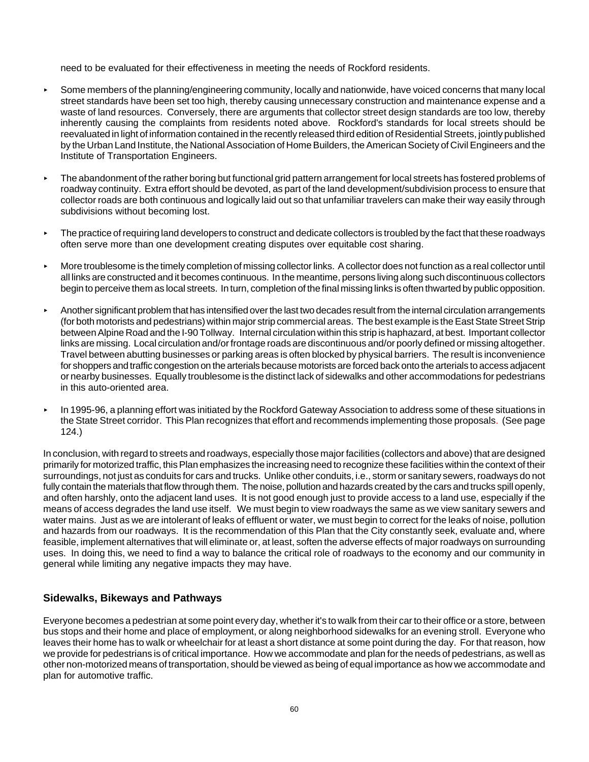need to be evaluated for their effectiveness in meeting the needs of Rockford residents.

- **Some members of the planning/engineering community, locally and nationwide, have voiced concerns that many local** street standards have been set too high, thereby causing unnecessary construction and maintenance expense and a waste of land resources. Conversely, there are arguments that collector street design standards are too low, thereby inherently causing the complaints from residents noted above. Rockford's standards for local streets should be reevaluated in light of information contained in the recently released third edition of Residential Streets, jointly published by the Urban Land Institute, the National Association of Home Builders, the American Society of Civil Engineers and the Institute of Transportation Engineers.
- **FILM** The abandonment of the rather boring but functional grid pattern arrangement for local streets has fostered problems of roadway continuity. Extra effort should be devoted, as part of the land development/subdivision process to ensure that collector roads are both continuous and logically laid out so that unfamiliar travelers can make their way easily through subdivisions without becoming lost.
- $\triangleright$  The practice of requiring land developers to construct and dedicate collectors is troubled by the fact that these roadways often serve more than one development creating disputes over equitable cost sharing.
- < More troublesome is the timely completion of missing collector links. A collector does not function as a real collector until all links are constructed and it becomes continuous. In the meantime, persons living along such discontinuous collectors begin to perceive them as local streets. In turn, completion of the final missing links is often thwarted by public opposition.
- < Another significant problem that has intensified over the last two decades result from the internal circulation arrangements (for both motorists and pedestrians) within major strip commercial areas. The best example is the East State Street Strip between Alpine Road and the I-90 Tollway. Internal circulation within this strip is haphazard, at best. Important collector links are missing. Local circulation and/or frontage roads are discontinuous and/or poorly defined or missing altogether. Travel between abutting businesses or parking areas is often blocked by physical barriers. The result is inconvenience for shoppers and traffic congestion on the arterials because motorists are forced back onto the arterials to access adjacent or nearby businesses. Equally troublesome is the distinct lack of sidewalks and other accommodations for pedestrians in this auto-oriented area.
- ► In 1995-96, a planning effort was initiated by the Rockford Gateway Association to address some of these situations in the State Street corridor. This Plan recognizes that effort and recommends implementing those proposals. (See page 124.)

In conclusion, with regard to streets and roadways, especially those major facilities (collectors and above) that are designed primarily for motorized traffic, this Plan emphasizes the increasing need to recognize these facilities within the context of their surroundings, not just as conduits for cars and trucks. Unlike other conduits, i.e., storm or sanitary sewers, roadways do not fully contain the materials that flow through them. The noise, pollution and hazards created by the cars and trucks spill openly, and often harshly, onto the adjacent land uses. It is not good enough just to provide access to a land use, especially if the means of access degrades the land use itself. We must begin to view roadways the same as we view sanitary sewers and water mains. Just as we are intolerant of leaks of effluent or water, we must begin to correct for the leaks of noise, pollution and hazards from our roadways. It is the recommendation of this Plan that the City constantly seek, evaluate and, where feasible, implement alternatives that will eliminate or, at least, soften the adverse effects of major roadways on surrounding uses. In doing this, we need to find a way to balance the critical role of roadways to the economy and our community in general while limiting any negative impacts they may have.

# **Sidewalks, Bikeways and Pathways**

Everyone becomes a pedestrian at some point every day, whether it's to walk from their car to their office or a store, between bus stops and their home and place of employment, or along neighborhood sidewalks for an evening stroll. Everyone who leaves their home has to walk or wheelchair for at least a short distance at some point during the day. For that reason, how we provide for pedestrians is of critical importance. How we accommodate and plan for the needs of pedestrians, as well as other non-motorized means of transportation, should be viewed as being of equal importance as how we accommodate and plan for automotive traffic.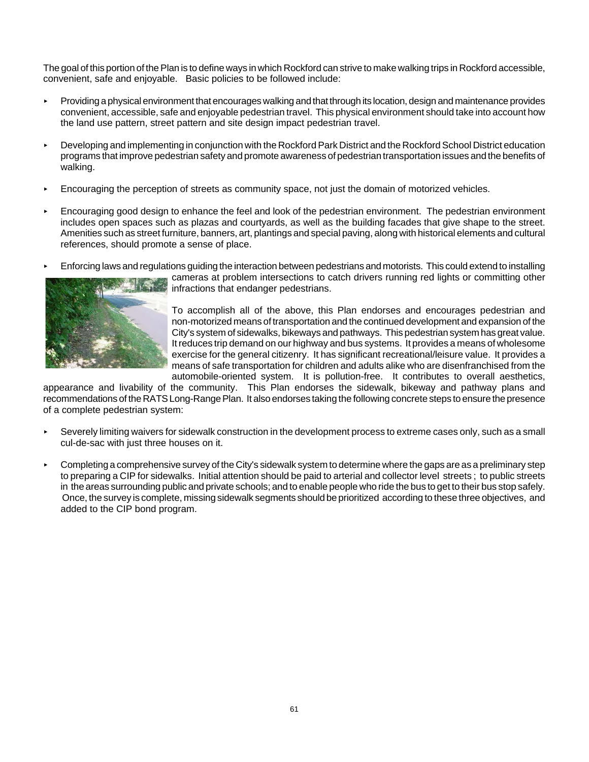The goal of this portion of the Plan is to define ways in which Rockford can strive to make walking trips in Rockford accessible, convenient, safe and enjoyable. Basic policies to be followed include:

- **Providing a physical environment that encourages walking and that through its location, design and maintenance provides** convenient, accessible, safe and enjoyable pedestrian travel. This physical environment should take into account how the land use pattern, street pattern and site design impact pedestrian travel.
- **Developing and implementing in conjunction with the Rockford Park District and the Rockford School District education** programs that improve pedestrian safety and promote awareness of pedestrian transportation issues and the benefits of walking.
- **Encouraging the perception of streets as community space, not just the domain of motorized vehicles.**
- **Encouraging good design to enhance the feel and look of the pedestrian environment. The pedestrian environment** includes open spaces such as plazas and courtyards, as well as the building facades that give shape to the street. Amenities such as street furniture, banners, art, plantings and special paving, along with historical elements and cultural references, should promote a sense of place.
- < Enforcing laws and regulations guiding the interaction between pedestrians and motorists. This could extend to installing



cameras at problem intersections to catch drivers running red lights or committing other infractions that endanger pedestrians.

To accomplish all of the above, this Plan endorses and encourages pedestrian and non-motorized means of transportation and the continued development and expansion of the City's system of sidewalks, bikeways and pathways. This pedestrian system has great value. It reduces trip demand on our highway and bus systems. It provides a means of wholesome exercise for the general citizenry. It has significant recreational/leisure value. It provides a means of safe transportation for children and adults alike who are disenfranchised from the automobile-oriented system. It is pollution-free. It contributes to overall aesthetics,

appearance and livability of the community. This Plan endorses the sidewalk, bikeway and pathway plans and recommendations of the RATS Long-Range Plan. It also endorses taking the following concrete steps to ensure the presence of a complete pedestrian system:

- ► Severely limiting waivers for sidewalk construction in the development process to extreme cases only, such as a small cul-de-sac with just three houses on it.
- $\triangleright$  Completing a comprehensive survey of the City's sidewalk system to determine where the gaps are as a preliminary step to preparing a CIP for sidewalks. Initial attention should be paid to arterial and collector level streets ; to public streets in the areas surrounding public and private schools; and to enable people who ride the bus to get to their bus stop safely. Once, the survey is complete, missing sidewalk segments should be prioritized according to these three objectives, and added to the CIP bond program.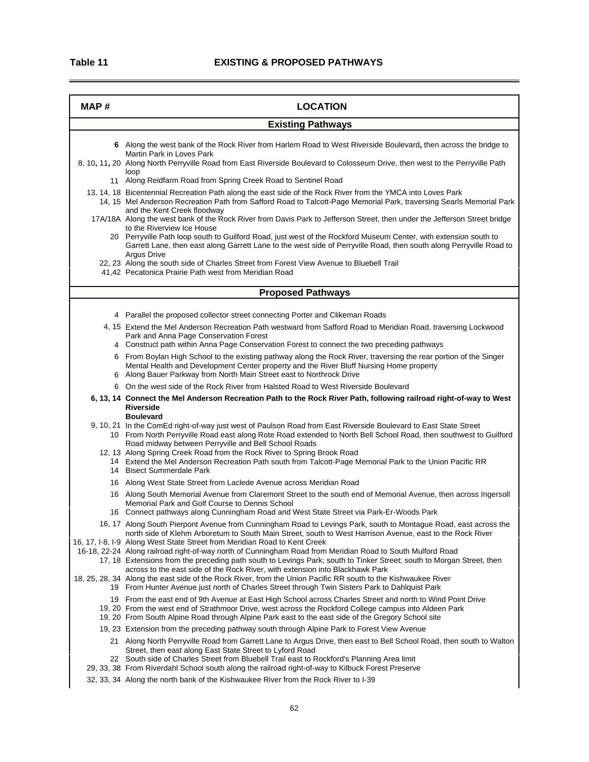| MAP# | <b>LOCATION</b>                                                                                                                                                                                                                                                                                                                                                                                                                                                                                                |  |  |  |
|------|----------------------------------------------------------------------------------------------------------------------------------------------------------------------------------------------------------------------------------------------------------------------------------------------------------------------------------------------------------------------------------------------------------------------------------------------------------------------------------------------------------------|--|--|--|
|      | <b>Existing Pathways</b>                                                                                                                                                                                                                                                                                                                                                                                                                                                                                       |  |  |  |
|      | 6 Along the west bank of the Rock River from Harlem Road to West Riverside Boulevard, then across the bridge to<br>Martin Park in Loves Park<br>8, 10, 11, 20 Along North Perryville Road from East Riverside Boulevard to Colosseum Drive, then west to the Perryville Path<br>loop                                                                                                                                                                                                                           |  |  |  |
|      | 11 Along Reidfarm Road from Spring Creek Road to Sentinel Road                                                                                                                                                                                                                                                                                                                                                                                                                                                 |  |  |  |
|      | 13, 14, 18 Bicentennial Recreation Path along the east side of the Rock River from the YMCA into Loves Park<br>14, 15 Mel Anderson Recreation Path from Safford Road to Talcott-Page Memorial Park, traversing Searls Memorial Park<br>and the Kent Creek floodway                                                                                                                                                                                                                                             |  |  |  |
|      | 17A/18A Along the west bank of the Rock River from Davis Park to Jefferson Street, then under the Jefferson Street bridge<br>to the Riverview Ice House<br>20 Perryville Path loop south to Guilford Road, just west of the Rockford Museum Center, with extension south to                                                                                                                                                                                                                                    |  |  |  |
|      | Garrett Lane, then east along Garrett Lane to the west side of Perryville Road, then south along Perryville Road to<br><b>Argus Drive</b><br>22, 23 Along the south side of Charles Street from Forest View Avenue to Bluebell Trail<br>41,42 Pecatonica Prairie Path west from Meridian Road                                                                                                                                                                                                                  |  |  |  |
|      | <b>Proposed Pathways</b>                                                                                                                                                                                                                                                                                                                                                                                                                                                                                       |  |  |  |
|      |                                                                                                                                                                                                                                                                                                                                                                                                                                                                                                                |  |  |  |
|      | 4 Parallel the proposed collector street connecting Porter and Clikeman Roads<br>4, 15 Extend the Mel Anderson Recreation Path westward from Safford Road to Meridian Road, traversing Lockwood<br>Park and Anna Page Conservation Forest                                                                                                                                                                                                                                                                      |  |  |  |
|      | 4 Construct path within Anna Page Conservation Forest to connect the two preceding pathways                                                                                                                                                                                                                                                                                                                                                                                                                    |  |  |  |
|      | 6 From Boylan High School to the existing pathway along the Rock River, traversing the rear portion of the Singer<br>Mental Health and Development Center property and the River Bluff Nursing Home property<br>6 Along Bauer Parkway from North Main Street east to Northrock Drive                                                                                                                                                                                                                           |  |  |  |
|      | 6 On the west side of the Rock River from Halsted Road to West Riverside Boulevard                                                                                                                                                                                                                                                                                                                                                                                                                             |  |  |  |
|      | 6, 13, 14 Connect the Mel Anderson Recreation Path to the Rock River Path, following railroad right-of-way to West<br><b>Riverside</b><br><b>Boulevard</b>                                                                                                                                                                                                                                                                                                                                                     |  |  |  |
|      | 9, 10, 21 In the ComEd right-of-way just west of Paulson Road from East Riverside Boulevard to East State Street<br>10 From North Perryville Road east along Rote Road extended to North Bell School Road, then southwest to Guilford<br>Road midway between Perryville and Bell School Roads                                                                                                                                                                                                                  |  |  |  |
|      | 12, 13 Along Spring Creek Road from the Rock River to Spring Brook Road<br>14 Extend the Mel Anderson Recreation Path south from Talcott-Page Memorial Park to the Union Pacific RR<br>14 Bisect Summerdale Park                                                                                                                                                                                                                                                                                               |  |  |  |
|      | 16 Along West State Street from Laclede Avenue across Meridian Road                                                                                                                                                                                                                                                                                                                                                                                                                                            |  |  |  |
|      | 16 Along South Memorial Avenue from Claremont Street to the south end of Memorial Avenue, then across Ingersoll<br>Memorial Park and Golf Course to Dennis School<br>16 Connect pathways along Cunningham Road and West State Street via Park-Er-Woods Park                                                                                                                                                                                                                                                    |  |  |  |
|      | 16, 17 Along South Pierpont Avenue from Cunningham Road to Levings Park, south to Montague Road, east across the                                                                                                                                                                                                                                                                                                                                                                                               |  |  |  |
|      | north side of Klehm Arboretum to South Main Street, south to West Harrison Avenue, east to the Rock River<br>16, 17, I-8, I-9 Along West State Street from Meridian Road to Kent Creek<br>16-18, 22-24 Along railroad right-of-way north of Cunningham Road from Meridian Road to South Mulford Road<br>17, 18 Extensions from the preceding path south to Levings Park; south to Tinker Street; south to Morgan Street, then<br>across to the east side of the Rock River, with extension into Blackhawk Park |  |  |  |
|      | 18, 25, 28, 34 Along the east side of the Rock River, from the Union Pacific RR south to the Kishwaukee River<br>19 From Hunter Avenue just north of Charles Street through Twin Sisters Park to Dahlquist Park                                                                                                                                                                                                                                                                                                |  |  |  |
|      | 19 From the east end of 9th Avenue at East High School across Charles Street and north to Wind Point Drive<br>19, 20 From the west end of Strathmoor Drive, west across the Rockford College campus into Aldeen Park<br>19, 20 From South Alpine Road through Alpine Park east to the east side of the Gregory School site                                                                                                                                                                                     |  |  |  |
|      | 19, 23 Extension from the preceding pathway south through Alpine Park to Forest View Avenue                                                                                                                                                                                                                                                                                                                                                                                                                    |  |  |  |
|      | 21 Along North Perryville Road from Garrett Lane to Argus Drive, then east to Bell School Road, then south to Walton<br>Street, then east along East State Street to Lyford Road<br>22 South side of Charles Street from Bluebell Trail east to Rockford's Planning Area limit                                                                                                                                                                                                                                 |  |  |  |
|      | 29, 33, 38 From Riverdahl School south along the railroad right-of-way to Kilbuck Forest Preserve<br>32, 33, 34 Along the north bank of the Kishwaukee River from the Rock River to I-39                                                                                                                                                                                                                                                                                                                       |  |  |  |
|      |                                                                                                                                                                                                                                                                                                                                                                                                                                                                                                                |  |  |  |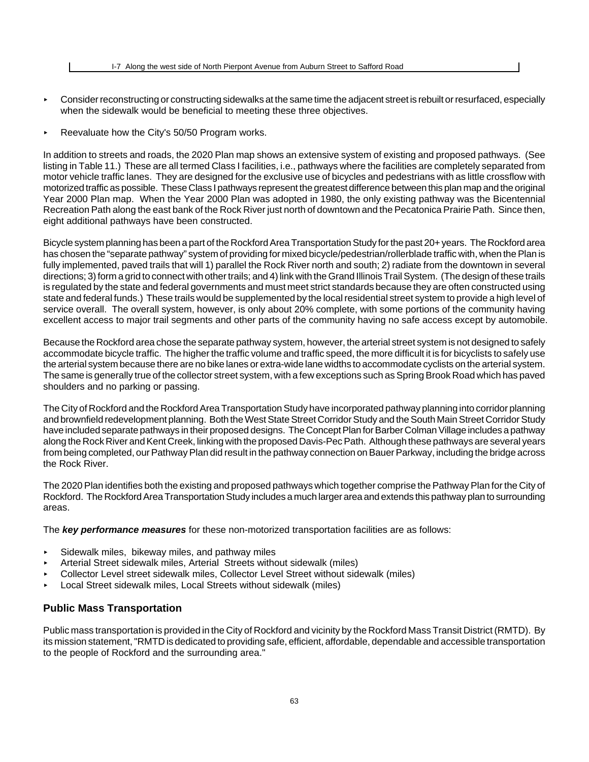- < Consider reconstructing or constructing sidewalks at the same time the adjacent street is rebuilt or resurfaced, especially when the sidewalk would be beneficial to meeting these three objectives.
- Reevaluate how the City's  $50/50$  Program works.

In addition to streets and roads, the 2020 Plan map shows an extensive system of existing and proposed pathways. (See listing in Table 11.) These are all termed Class I facilities, i.e., pathways where the facilities are completely separated from motor vehicle traffic lanes. They are designed for the exclusive use of bicycles and pedestrians with as little crossflow with motorized traffic as possible. These Class I pathways represent the greatest difference between this plan map and the original Year 2000 Plan map. When the Year 2000 Plan was adopted in 1980, the only existing pathway was the Bicentennial Recreation Path along the east bank of the Rock River just north of downtown and the Pecatonica Prairie Path. Since then, eight additional pathways have been constructed.

Bicycle system planning has been a part of the Rockford Area Transportation Study for the past 20+ years. The Rockford area has chosen the "separate pathway" system of providing for mixed bicycle/pedestrian/rollerblade traffic with, when the Plan is fully implemented, paved trails that will 1) parallel the Rock River north and south; 2) radiate from the downtown in several directions; 3) form a grid to connect with other trails; and 4) link with the Grand Illinois Trail System. (The design of these trails is regulated by the state and federal governments and must meet strict standards because they are often constructed using state and federal funds.) These trails would be supplemented by the local residential street system to provide a high level of service overall. The overall system, however, is only about 20% complete, with some portions of the community having excellent access to major trail segments and other parts of the community having no safe access except by automobile.

Because the Rockford area chose the separate pathway system, however, the arterial street system is not designed to safely accommodate bicycle traffic. The higher the traffic volume and traffic speed, the more difficult it is for bicyclists to safely use the arterial system because there are no bike lanes or extra-wide lane widths to accommodate cyclists on the arterial system. The same is generally true of the collector street system, with a few exceptions such as Spring Brook Road which has paved shoulders and no parking or passing.

The City of Rockford and the Rockford Area Transportation Study have incorporated pathway planning into corridor planning and brownfield redevelopment planning. Both the West State Street Corridor Study and the South Main Street Corridor Study have included separate pathways in their proposed designs. The Concept Plan for Barber Colman Village includes a pathway along the Rock River and Kent Creek, linking with the proposed Davis-Pec Path. Although these pathways are several years from being completed, our Pathway Plan did result in the pathway connection on Bauer Parkway, including the bridge across the Rock River.

The 2020 Plan identifies both the existing and proposed pathways which together comprise the Pathway Plan for the City of Rockford. The Rockford Area Transportation Study includes a much larger area and extends this pathway plan to surrounding areas.

The *key performance measures* for these non-motorized transportation facilities are as follows:

- $\triangleright$  Sidewalk miles, bikeway miles, and pathway miles
- < Arterial Street sidewalk miles, Arterial Streets without sidewalk (miles)
- < Collector Level street sidewalk miles, Collector Level Street without sidewalk (miles)
- **Local Street sidewalk miles, Local Streets without sidewalk (miles)**

#### **Public Mass Transportation**

Public mass transportation is provided in the City of Rockford and vicinity by the Rockford Mass Transit District (RMTD). By its mission statement, "RMTD is dedicated to providing safe, efficient, affordable, dependable and accessible transportation to the people of Rockford and the surrounding area."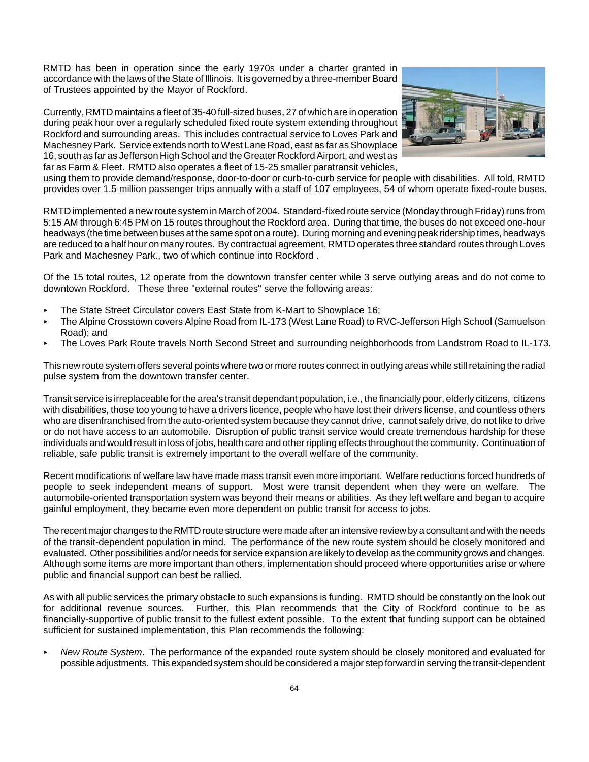RMTD has been in operation since the early 1970s under a charter granted in accordance with the laws of the State of Illinois. It is governed by a three-member Board of Trustees appointed by the Mayor of Rockford.

Currently, RMTD maintains a fleet of 35-40 full-sized buses, 27 of which are in operation during peak hour over a regularly scheduled fixed route system extending throughout Rockford and surrounding areas. This includes contractual service to Loves Park and Machesney Park. Service extends north to West Lane Road, east as far as Showplace 16, south as far as Jefferson High School and the Greater Rockford Airport, and west as far as Farm & Fleet. RMTD also operates a fleet of 15-25 smaller paratransit vehicles,



using them to provide demand/response, door-to-door or curb-to-curb service for people with disabilities. All told, RMTD provides over 1.5 million passenger trips annually with a staff of 107 employees, 54 of whom operate fixed-route buses.

RMTD implemented a new route system in March of 2004. Standard-fixed route service (Monday through Friday) runs from 5:15 AM through 6:45 PM on 15 routes throughout the Rockford area. During that time, the buses do not exceed one-hour headways (the time between buses at the same spot on a route). During morning and evening peak ridership times, headways are reduced to a half hour on many routes. By contractual agreement, RMTD operates three standard routes through Loves Park and Machesney Park., two of which continue into Rockford .

Of the 15 total routes, 12 operate from the downtown transfer center while 3 serve outlying areas and do not come to downtown Rockford. These three "external routes" serve the following areas:

- ▶ The State Street Circulator covers East State from K-Mart to Showplace 16;
- < The Alpine Crosstown covers Alpine Road from IL-173 (West Lane Road) to RVC-Jefferson High School (Samuelson Road); and
- < The Loves Park Route travels North Second Street and surrounding neighborhoods from Landstrom Road to IL-173.

This new route system offers several points where two or more routes connect in outlying areas while still retaining the radial pulse system from the downtown transfer center.

Transit service is irreplaceable for the area's transit dependant population, i.e., the financially poor, elderly citizens, citizens with disabilities, those too young to have a drivers licence, people who have lost their drivers license, and countless others who are disenfranchised from the auto-oriented system because they cannot drive, cannot safely drive, do not like to drive or do not have access to an automobile. Disruption of public transit service would create tremendous hardship for these individuals and would result in loss of jobs, health care and other rippling effects throughout the community. Continuation of reliable, safe public transit is extremely important to the overall welfare of the community.

Recent modifications of welfare law have made mass transit even more important. Welfare reductions forced hundreds of people to seek independent means of support. Most were transit dependent when they were on welfare. The automobile-oriented transportation system was beyond their means or abilities. As they left welfare and began to acquire gainful employment, they became even more dependent on public transit for access to jobs.

The recent major changes to the RMTD route structure were made after an intensive review by a consultant and with the needs of the transit-dependent population in mind. The performance of the new route system should be closely monitored and evaluated. Other possibilities and/or needs for service expansion are likely to develop as the community grows and changes. Although some items are more important than others, implementation should proceed where opportunities arise or where public and financial support can best be rallied.

As with all public services the primary obstacle to such expansions is funding. RMTD should be constantly on the look out for additional revenue sources. Further, this Plan recommends that the City of Rockford continue to be as financially-supportive of public transit to the fullest extent possible. To the extent that funding support can be obtained sufficient for sustained implementation, this Plan recommends the following:

< *New Route System*. The performance of the expanded route system should be closely monitored and evaluated for possible adjustments. This expanded system should be considered a major step forward in serving the transit-dependent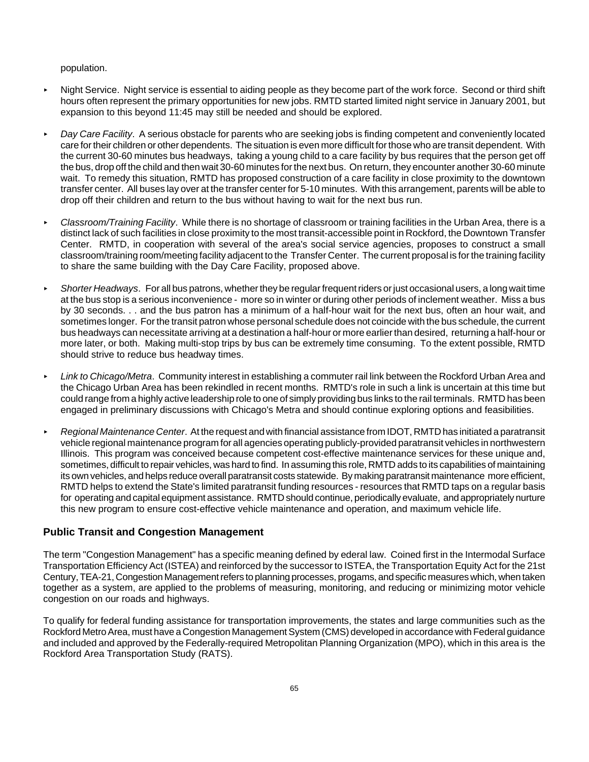#### population.

- **Night Service. Night service is essential to aiding people as they become part of the work force. Second or third shift** hours often represent the primary opportunities for new jobs. RMTD started limited night service in January 2001, but expansion to this beyond 11:45 may still be needed and should be explored.
- < *Day Care Facility*. A serious obstacle for parents who are seeking jobs is finding competent and conveniently located care for their children or other dependents. The situation is even more difficult for those who are transit dependent. With the current 30-60 minutes bus headways, taking a young child to a care facility by bus requires that the person get off the bus, drop off the child and then wait 30-60 minutes for the next bus. On return, they encounter another 30-60 minute wait. To remedy this situation, RMTD has proposed construction of a care facility in close proximity to the downtown transfer center. All buses lay over at the transfer center for 5-10 minutes. With this arrangement, parents will be able to drop off their children and return to the bus without having to wait for the next bus run.
- < *Classroom/Training Facility*. While there is no shortage of classroom or training facilities in the Urban Area, there is a distinct lack of such facilities in close proximity to the most transit-accessible point in Rockford, the Downtown Transfer Center. RMTD, in cooperation with several of the area's social service agencies, proposes to construct a small classroom/training room/meeting facility adjacent to the Transfer Center. The current proposal is for the training facility to share the same building with the Day Care Facility, proposed above.
- < *Shorter Headways*. For all bus patrons, whether they be regular frequent riders or just occasional users, a long wait time at the bus stop is a serious inconvenience - more so in winter or during other periods of inclement weather. Miss a bus by 30 seconds. . . and the bus patron has a minimum of a half-hour wait for the next bus, often an hour wait, and sometimes longer. For the transit patron whose personal schedule does not coincide with the bus schedule, the current bus headways can necessitate arriving at a destination a half-hour or more earlier than desired, returning a half-hour or more later, or both. Making multi-stop trips by bus can be extremely time consuming. To the extent possible, RMTD should strive to reduce bus headway times.
- < *Link to Chicago/Metra*. Community interest in establishing a commuter rail link between the Rockford Urban Area and the Chicago Urban Area has been rekindled in recent months. RMTD's role in such a link is uncertain at this time but could range from a highly active leadership role to one of simply providing bus links to the rail terminals. RMTD has been engaged in preliminary discussions with Chicago's Metra and should continue exploring options and feasibilities.
- < *Regional Maintenance Center*. At the request and with financial assistance from IDOT, RMTD has initiated a paratransit vehicle regional maintenance program for all agencies operating publicly-provided paratransit vehicles in northwestern Illinois. This program was conceived because competent cost-effective maintenance services for these unique and, sometimes, difficult to repair vehicles, was hard to find. In assuming this role, RMTD adds to its capabilities of maintaining its own vehicles, and helps reduce overall paratransit costs statewide. By making paratransit maintenance more efficient, RMTD helps to extend the State's limited paratransit funding resources - resources that RMTD taps on a regular basis for operating and capital equipment assistance. RMTD should continue, periodically evaluate, and appropriately nurture this new program to ensure cost-effective vehicle maintenance and operation, and maximum vehicle life.

### **Public Transit and Congestion Management**

The term "Congestion Management" has a specific meaning defined by ederal law. Coined first in the Intermodal Surface Transportation Efficiency Act (ISTEA) and reinforced by the successor to ISTEA, the Transportation Equity Act for the 21st Century, TEA-21, Congestion Management refers to planning processes, progams, and specific measures which, when taken together as a system, are applied to the problems of measuring, monitoring, and reducing or minimizing motor vehicle congestion on our roads and highways.

To qualify for federal funding assistance for transportation improvements, the states and large communities such as the Rockford Metro Area, must have a Congestion Management System (CMS) developed in accordance with Federal guidance and included and approved by the Federally-required Metropolitan Planning Organization (MPO), which in this area is the Rockford Area Transportation Study (RATS).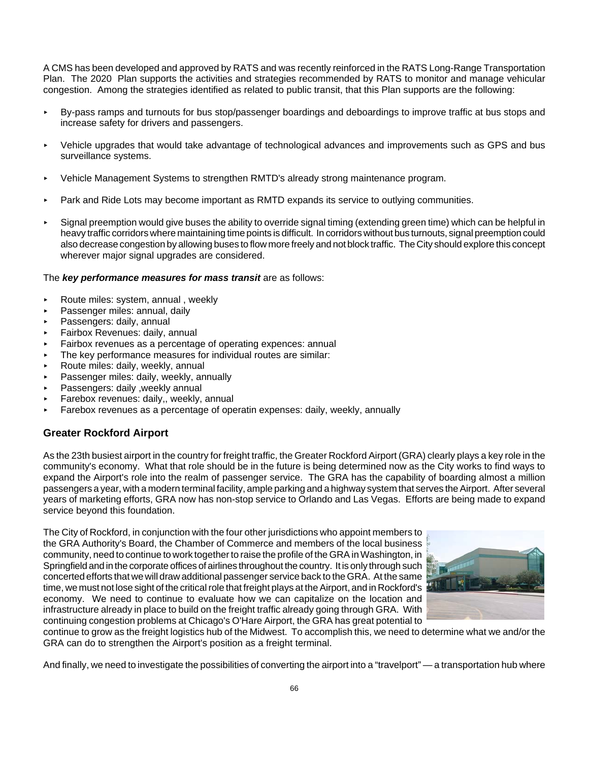A CMS has been developed and approved by RATS and was recently reinforced in the RATS Long-Range Transportation Plan. The 2020 Plan supports the activities and strategies recommended by RATS to monitor and manage vehicular congestion. Among the strategies identified as related to public transit, that this Plan supports are the following:

- < By-pass ramps and turnouts for bus stop/passenger boardings and deboardings to improve traffic at bus stops and increase safety for drivers and passengers.
- < Vehicle upgrades that would take advantage of technological advances and improvements such as GPS and bus surveillance systems.
- < Vehicle Management Systems to strengthen RMTD's already strong maintenance program.
- Park and Ride Lots may become important as RMTD expands its service to outlying communities.
- < Signal preemption would give buses the ability to override signal timing (extending green time) which can be helpful in heavy traffic corridors where maintaining time points is difficult. In corridors without bus turnouts, signal preemption could also decrease congestion by allowing buses to flow more freely and not block traffic. The City should explore this concept wherever major signal upgrades are considered.

#### The *key performance measures for mass transit* are as follows:

- $\triangleright$  Route miles: system, annual, weekly
- Passenger miles: annual, daily
- **Passengers: daily, annual**
- < Fairbox Revenues: daily, annual
- Fairbox revenues as a percentage of operating expences: annual
- The key performance measures for individual routes are similar:
- $\triangleright$  Route miles: daily, weekly, annual
- Passenger miles: daily, weekly, annually
- Passengers: daily , weekly annual
- Farebox revenues: daily., weekly, annual
- $\triangleright$  Farebox revenues as a percentage of operatin expenses: daily, weekly, annually

### **Greater Rockford Airport**

As the 23th busiest airport in the country for freight traffic, the Greater Rockford Airport (GRA) clearly plays a key role in the community's economy. What that role should be in the future is being determined now as the City works to find ways to expand the Airport's role into the realm of passenger service. The GRA has the capability of boarding almost a million passengers a year, with a modern terminal facility, ample parking and a highway system that serves the Airport. After several years of marketing efforts, GRA now has non-stop service to Orlando and Las Vegas. Efforts are being made to expand service beyond this foundation.

The City of Rockford, in conjunction with the four other jurisdictions who appoint members to the GRA Authority's Board, the Chamber of Commerce and members of the local business community, need to continue to work together to raise the profile of the GRA in Washington, in Springfield and in the corporate offices of airlines throughout the country. It is only through such concerted efforts that we will draw additional passenger service back to the GRA. At the same time, we must not lose sight of the critical role that freight plays at the Airport, and in Rockford's economy. We need to continue to evaluate how we can capitalize on the location and infrastructure already in place to build on the freight traffic already going through GRA. With continuing congestion problems at Chicago's O'Hare Airport, the GRA has great potential to



continue to grow as the freight logistics hub of the Midwest. To accomplish this, we need to determine what we and/or the GRA can do to strengthen the Airport's position as a freight terminal.

And finally, we need to investigate the possibilities of converting the airport into a "travelport" — a transportation hub where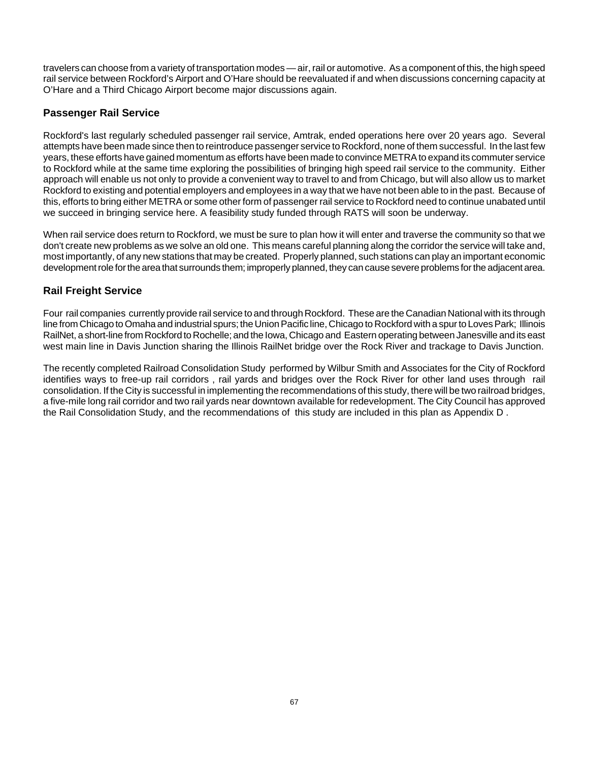travelers can choose from a variety of transportation modes — air, rail or automotive. As a component of this, the high speed rail service between Rockford's Airport and O'Hare should be reevaluated if and when discussions concerning capacity at O'Hare and a Third Chicago Airport become major discussions again.

# **Passenger Rail Service**

Rockford's last regularly scheduled passenger rail service, Amtrak, ended operations here over 20 years ago. Several attempts have been made since then to reintroduce passenger service to Rockford, none of them successful. In the last few years, these efforts have gained momentum as efforts have been made to convince METRA to expand its commuter service to Rockford while at the same time exploring the possibilities of bringing high speed rail service to the community. Either approach will enable us not only to provide a convenient way to travel to and from Chicago, but will also allow us to market Rockford to existing and potential employers and employees in a way that we have not been able to in the past. Because of this, efforts to bring either METRA or some other form of passenger rail service to Rockford need to continue unabated until we succeed in bringing service here. A feasibility study funded through RATS will soon be underway.

When rail service does return to Rockford, we must be sure to plan how it will enter and traverse the community so that we don't create new problems as we solve an old one. This means careful planning along the corridor the service will take and, most importantly, of any new stations that may be created. Properly planned, such stations can play an important economic development role for the area that surrounds them; improperly planned, they can cause severe problems for the adjacent area.

# **Rail Freight Service**

Four rail companies currently provide rail service to and through Rockford. These are the Canadian National with its through line from Chicago to Omaha and industrial spurs; the Union Pacific line, Chicago to Rockford with a spur to Loves Park; Illinois RailNet, a short-line from Rockford to Rochelle; and the Iowa, Chicago and Eastern operating between Janesville and its east west main line in Davis Junction sharing the Illinois RailNet bridge over the Rock River and trackage to Davis Junction.

The recently completed Railroad Consolidation Study performed by Wilbur Smith and Associates for the City of Rockford identifies ways to free-up rail corridors , rail yards and bridges over the Rock River for other land uses through rail consolidation. If the City is successful in implementing the recommendations of this study, there will be two railroad bridges, a five-mile long rail corridor and two rail yards near downtown available for redevelopment. The City Council has approved the Rail Consolidation Study, and the recommendations of this study are included in this plan as Appendix D .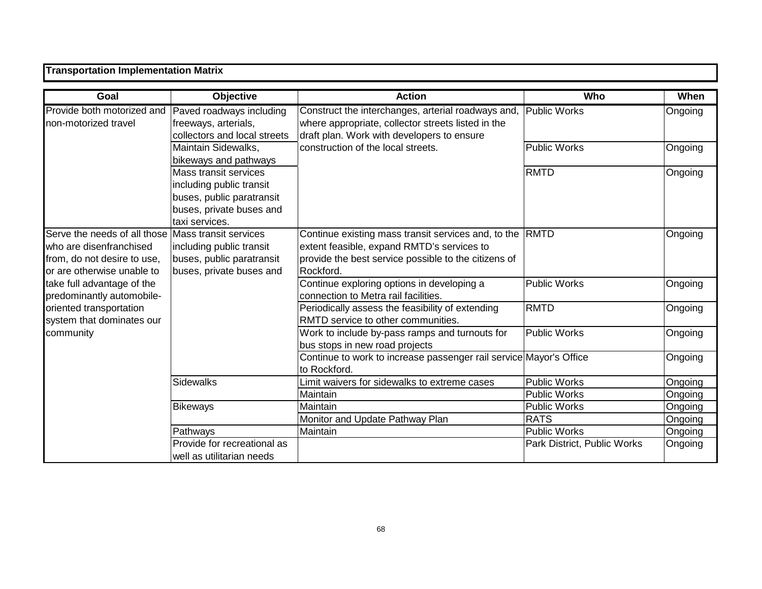| <b>Transportation Implementation Matrix</b>                                                                          |                                                                                                                              |                                                                                                                                                                        |                                            |                    |  |
|----------------------------------------------------------------------------------------------------------------------|------------------------------------------------------------------------------------------------------------------------------|------------------------------------------------------------------------------------------------------------------------------------------------------------------------|--------------------------------------------|--------------------|--|
| Goal                                                                                                                 | <b>Objective</b>                                                                                                             | <b>Action</b>                                                                                                                                                          | Who                                        | When               |  |
| Provide both motorized and<br>non-motorized travel                                                                   | Paved roadways including<br>freeways, arterials,<br>collectors and local streets                                             | Construct the interchanges, arterial roadways and,<br>where appropriate, collector streets listed in the<br>draft plan. Work with developers to ensure                 | <b>Public Works</b>                        | Ongoing            |  |
|                                                                                                                      | Maintain Sidewalks,<br>bikeways and pathways                                                                                 | construction of the local streets.                                                                                                                                     | <b>Public Works</b>                        | Ongoing            |  |
|                                                                                                                      | Mass transit services<br>including public transit<br>buses, public paratransit<br>buses, private buses and<br>taxi services. |                                                                                                                                                                        | <b>RMTD</b>                                | Ongoing            |  |
| Serve the needs of all those<br>who are disenfranchised<br>from, do not desire to use,<br>or are otherwise unable to | Mass transit services<br>including public transit<br>buses, public paratransit<br>buses, private buses and                   | Continue existing mass transit services and, to the<br>extent feasible, expand RMTD's services to<br>provide the best service possible to the citizens of<br>Rockford. | <b>RMTD</b>                                | Ongoing            |  |
| take full advantage of the<br>predominantly automobile-                                                              |                                                                                                                              | Continue exploring options in developing a<br>connection to Metra rail facilities.                                                                                     | <b>Public Works</b>                        | Ongoing            |  |
| oriented transportation<br>system that dominates our                                                                 |                                                                                                                              | Periodically assess the feasibility of extending<br>RMTD service to other communities.                                                                                 | <b>RMTD</b>                                | Ongoing            |  |
| community                                                                                                            |                                                                                                                              | Work to include by-pass ramps and turnouts for<br>bus stops in new road projects                                                                                       | <b>Public Works</b>                        | Ongoing            |  |
|                                                                                                                      |                                                                                                                              | Continue to work to increase passenger rail service Mayor's Office<br>to Rockford.                                                                                     |                                            | Ongoing            |  |
|                                                                                                                      | <b>Sidewalks</b>                                                                                                             | Limit waivers for sidewalks to extreme cases<br>Maintain                                                                                                               | <b>Public Works</b><br><b>Public Works</b> | Ongoing<br>Ongoing |  |
|                                                                                                                      | <b>Bikeways</b>                                                                                                              | Maintain<br>Monitor and Update Pathway Plan                                                                                                                            | <b>Public Works</b><br><b>RATS</b>         | Ongoing<br>Ongoing |  |
|                                                                                                                      | Pathways                                                                                                                     | Maintain                                                                                                                                                               | <b>Public Works</b>                        | Ongoing            |  |
|                                                                                                                      | Provide for recreational as<br>well as utilitarian needs                                                                     |                                                                                                                                                                        | Park District, Public Works                | Ongoing            |  |

٦